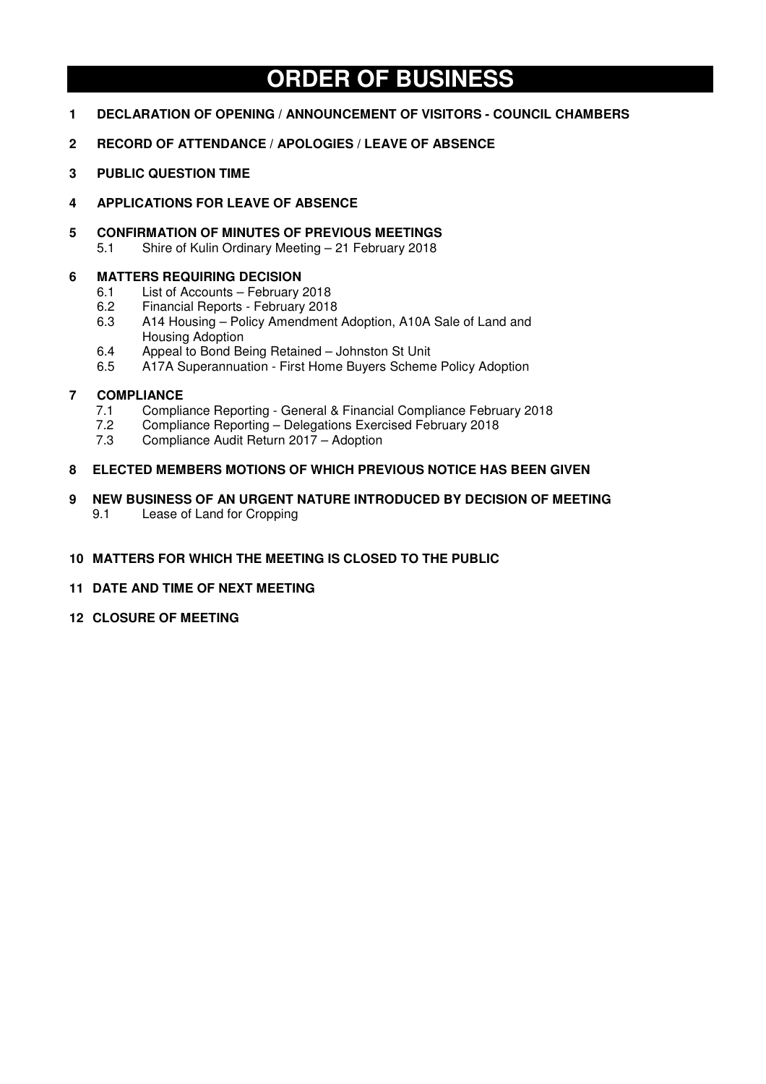# **ORDER OF BUSINESS**

- **1 DECLARATION OF OPENING / ANNOUNCEMENT OF VISITORS COUNCIL CHAMBERS**
- **2 RECORD OF ATTENDANCE / APOLOGIES / LEAVE OF ABSENCE**
- **3 PUBLIC QUESTION TIME**
- **4 APPLICATIONS FOR LEAVE OF ABSENCE**
- **5 CONFIRMATION OF MINUTES OF PREVIOUS MEETINGS** 
	- 5.1 Shire of Kulin Ordinary Meeting 21 February 2018

## **6 MATTERS REQUIRING DECISION**

- 6.1 List of Accounts February 2018
- 6.2 Financial Reports February 2018
- 6.3 A14 Housing Policy Amendment Adoption, A10A Sale of Land and Housing Adoption
- 6.4 Appeal to Bond Being Retained Johnston St Unit
- 6.5 A17A Superannuation First Home Buyers Scheme Policy Adoption

## **7 COMPLIANCE**

- 7.1 Compliance Reporting General & Financial Compliance February 2018<br>7.2 Compliance Reporting Delegations Exercised February 2018
- 7.2 Compliance Reporting Delegations Exercised February 2018
- 7.3 Compliance Audit Return 2017 Adoption

## **8 ELECTED MEMBERS MOTIONS OF WHICH PREVIOUS NOTICE HAS BEEN GIVEN**

**9 NEW BUSINESS OF AN URGENT NATURE INTRODUCED BY DECISION OF MEETING**  9.1 Lease of Land for Cropping

## **10 MATTERS FOR WHICH THE MEETING IS CLOSED TO THE PUBLIC**

## **11 DATE AND TIME OF NEXT MEETING**

**12 CLOSURE OF MEETING**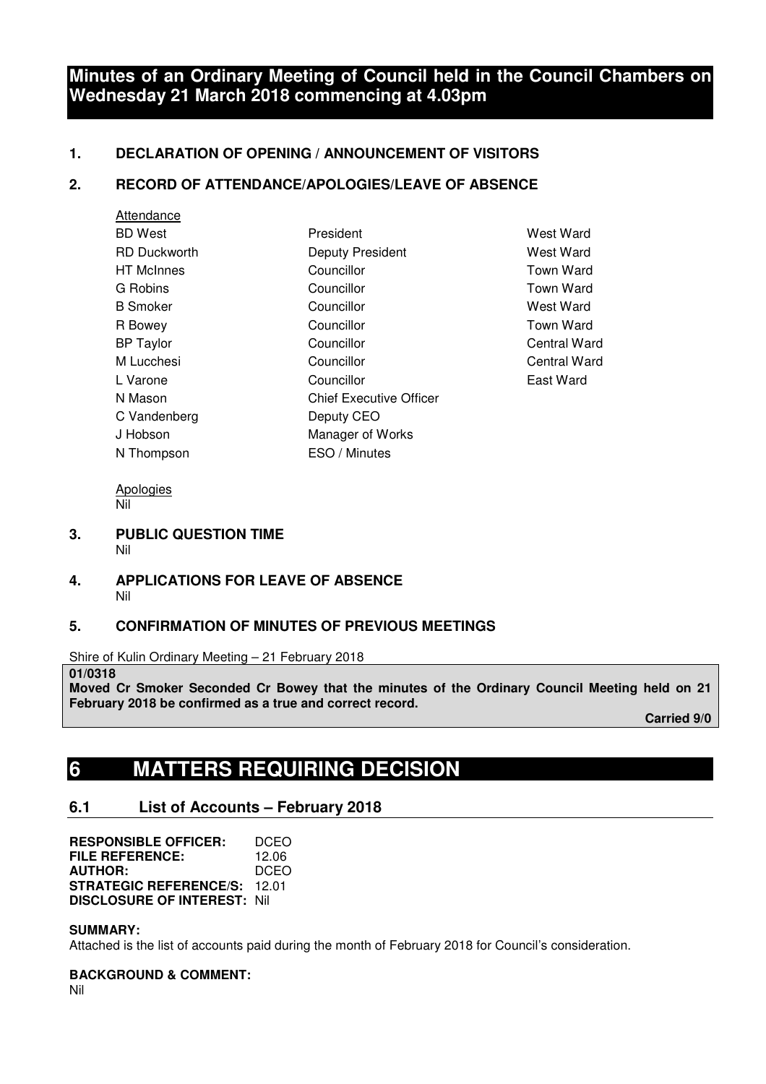# **Minutes of an Ordinary Meeting of Council held in the Council Chambers on Wednesday 21 March 2018 commencing at 4.03pm**

## **1. DECLARATION OF OPENING / ANNOUNCEMENT OF VISITORS**

## **2. RECORD OF ATTENDANCE/APOLOGIES/LEAVE OF ABSENCE**

| Attendance          |                                |
|---------------------|--------------------------------|
| <b>BD</b> West      | President                      |
| <b>RD Duckworth</b> | Deputy President               |
| <b>HT</b> McInnes   | Councillor                     |
| G Robins            | Councillor                     |
| <b>B</b> Smoker     | Councillor                     |
| R Bowey             | Councillor                     |
| <b>BP Taylor</b>    | Councillor                     |
| M Lucchesi          | Councillor                     |
| L Varone            | Councillor                     |
| N Mason             | <b>Chief Executive Officer</b> |
| C Vandenberg        | Deputy CEO                     |
| J Hobson            | Manager of Works               |
| N Thompson          | ESO / Minutes                  |

West Ward **West Ward** Town Ward Town Ward West Ward Town Ward **Central Ward** Central Ward East Ward

Apologies Nil

- **3. PUBLIC QUESTION TIME**  Nil
- **4. APPLICATIONS FOR LEAVE OF ABSENCE**  Nil

## **5. CONFIRMATION OF MINUTES OF PREVIOUS MEETINGS**

Shire of Kulin Ordinary Meeting – 21 February 2018

**01/0318** 

**Moved Cr Smoker Seconded Cr Bowey that the minutes of the Ordinary Council Meeting held on 21 February 2018 be confirmed as a true and correct record.** 

 **Carried 9/0** 

# **6 MATTERS REQUIRING DECISION**

## **6.1 List of Accounts – February 2018**

| <b>RESPONSIBLE OFFICER:</b>        | DCEO  |
|------------------------------------|-------|
| FILE REFERENCE:                    | 12.06 |
| <b>AUTHOR:</b>                     | DCEO  |
| <b>STRATEGIC REFERENCE/S:</b>      | 12 O1 |
| <b>DISCLOSURE OF INTEREST: Nil</b> |       |

**SUMMARY:** 

Attached is the list of accounts paid during the month of February 2018 for Council's consideration.

**BACKGROUND & COMMENT:** 

Nil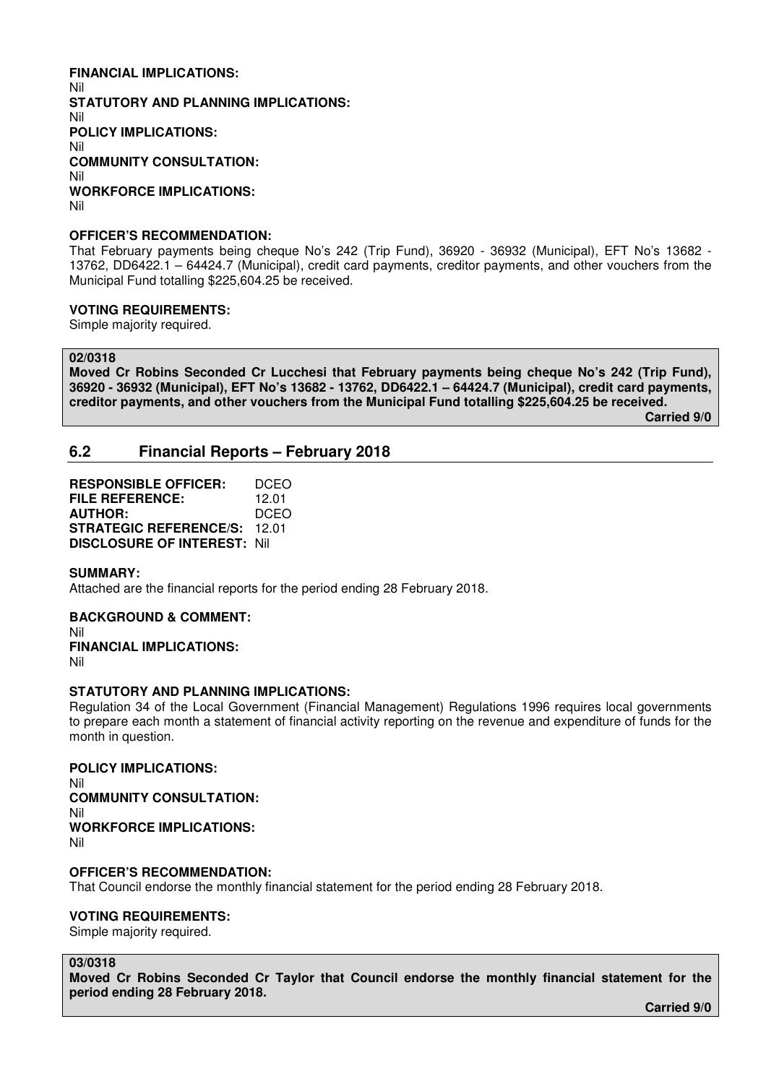## **FINANCIAL IMPLICATIONS:**

Nil **STATUTORY AND PLANNING IMPLICATIONS:**  Nil **POLICY IMPLICATIONS:**  Nil **COMMUNITY CONSULTATION:**  Nil **WORKFORCE IMPLICATIONS:**  Nil

### **OFFICER'S RECOMMENDATION:**

That February payments being cheque No's 242 (Trip Fund), 36920 - 36932 (Municipal), EFT No's 13682 - 13762, DD6422.1 – 64424.7 (Municipal), credit card payments, creditor payments, and other vouchers from the Municipal Fund totalling \$225,604.25 be received.

### **VOTING REQUIREMENTS:**

Simple majority required.

**02/0318** 

**Moved Cr Robins Seconded Cr Lucchesi that February payments being cheque No's 242 (Trip Fund), 36920 - 36932 (Municipal), EFT No's 13682 - 13762, DD6422.1 – 64424.7 (Municipal), credit card payments, creditor payments, and other vouchers from the Municipal Fund totalling \$225,604.25 be received.** 

 **Carried 9/0** 

## **6.2 Financial Reports – February 2018**

**RESPONSIBLE OFFICER:** DCEO **FILE REFERENCE:** 12.01 **AUTHOR:** DCEO **STRATEGIC REFERENCE/S:** 12.01 **DISCLOSURE OF INTEREST:** Nil

#### **SUMMARY:**

Attached are the financial reports for the period ending 28 February 2018.

## **BACKGROUND & COMMENT:**

Nil **FINANCIAL IMPLICATIONS:** 

Nil

## **STATUTORY AND PLANNING IMPLICATIONS:**

Regulation 34 of the Local Government (Financial Management) Regulations 1996 requires local governments to prepare each month a statement of financial activity reporting on the revenue and expenditure of funds for the month in question.

**POLICY IMPLICATIONS:**  Nil **COMMUNITY CONSULTATION:**  Nil **WORKFORCE IMPLICATIONS:**  Nil

#### **OFFICER'S RECOMMENDATION:**

That Council endorse the monthly financial statement for the period ending 28 February 2018.

#### **VOTING REQUIREMENTS:**

Simple majority required.

#### **03/0318**

**Moved Cr Robins Seconded Cr Taylor that Council endorse the monthly financial statement for the period ending 28 February 2018.** 

 **Carried 9/0**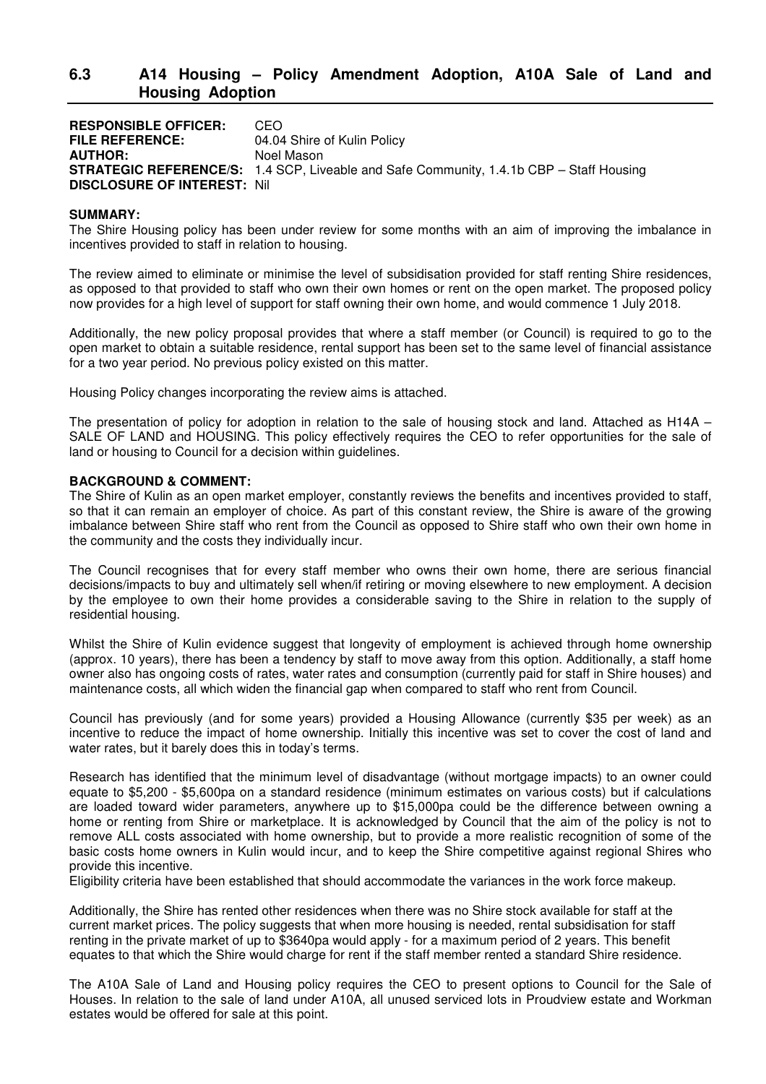## **6.3 A14 Housing – Policy Amendment Adoption, A10A Sale of Land and Housing Adoption**

**RESPONSIBLE OFFICER:** CEO<br>FILE REFERENCE: 04.04 04.04 Shire of Kulin Policy **AUTHOR:** Noel Mason **STRATEGIC REFERENCE/S:** 1.4 SCP, Liveable and Safe Community, 1.4.1b CBP – Staff Housing **DISCLOSURE OF INTEREST:** Nil

#### **SUMMARY:**

The Shire Housing policy has been under review for some months with an aim of improving the imbalance in incentives provided to staff in relation to housing.

The review aimed to eliminate or minimise the level of subsidisation provided for staff renting Shire residences, as opposed to that provided to staff who own their own homes or rent on the open market. The proposed policy now provides for a high level of support for staff owning their own home, and would commence 1 July 2018.

Additionally, the new policy proposal provides that where a staff member (or Council) is required to go to the open market to obtain a suitable residence, rental support has been set to the same level of financial assistance for a two year period. No previous policy existed on this matter.

Housing Policy changes incorporating the review aims is attached.

The presentation of policy for adoption in relation to the sale of housing stock and land. Attached as H14A – SALE OF LAND and HOUSING. This policy effectively requires the CEO to refer opportunities for the sale of land or housing to Council for a decision within guidelines.

#### **BACKGROUND & COMMENT:**

The Shire of Kulin as an open market employer, constantly reviews the benefits and incentives provided to staff, so that it can remain an employer of choice. As part of this constant review, the Shire is aware of the growing imbalance between Shire staff who rent from the Council as opposed to Shire staff who own their own home in the community and the costs they individually incur.

The Council recognises that for every staff member who owns their own home, there are serious financial decisions/impacts to buy and ultimately sell when/if retiring or moving elsewhere to new employment. A decision by the employee to own their home provides a considerable saving to the Shire in relation to the supply of residential housing.

Whilst the Shire of Kulin evidence suggest that longevity of employment is achieved through home ownership (approx. 10 years), there has been a tendency by staff to move away from this option. Additionally, a staff home owner also has ongoing costs of rates, water rates and consumption (currently paid for staff in Shire houses) and maintenance costs, all which widen the financial gap when compared to staff who rent from Council.

Council has previously (and for some years) provided a Housing Allowance (currently \$35 per week) as an incentive to reduce the impact of home ownership. Initially this incentive was set to cover the cost of land and water rates, but it barely does this in today's terms.

Research has identified that the minimum level of disadvantage (without mortgage impacts) to an owner could equate to \$5,200 - \$5,600pa on a standard residence (minimum estimates on various costs) but if calculations are loaded toward wider parameters, anywhere up to \$15,000pa could be the difference between owning a home or renting from Shire or marketplace. It is acknowledged by Council that the aim of the policy is not to remove ALL costs associated with home ownership, but to provide a more realistic recognition of some of the basic costs home owners in Kulin would incur, and to keep the Shire competitive against regional Shires who provide this incentive.

Eligibility criteria have been established that should accommodate the variances in the work force makeup.

Additionally, the Shire has rented other residences when there was no Shire stock available for staff at the current market prices. The policy suggests that when more housing is needed, rental subsidisation for staff renting in the private market of up to \$3640pa would apply - for a maximum period of 2 years. This benefit equates to that which the Shire would charge for rent if the staff member rented a standard Shire residence.

The A10A Sale of Land and Housing policy requires the CEO to present options to Council for the Sale of Houses. In relation to the sale of land under A10A, all unused serviced lots in Proudview estate and Workman estates would be offered for sale at this point.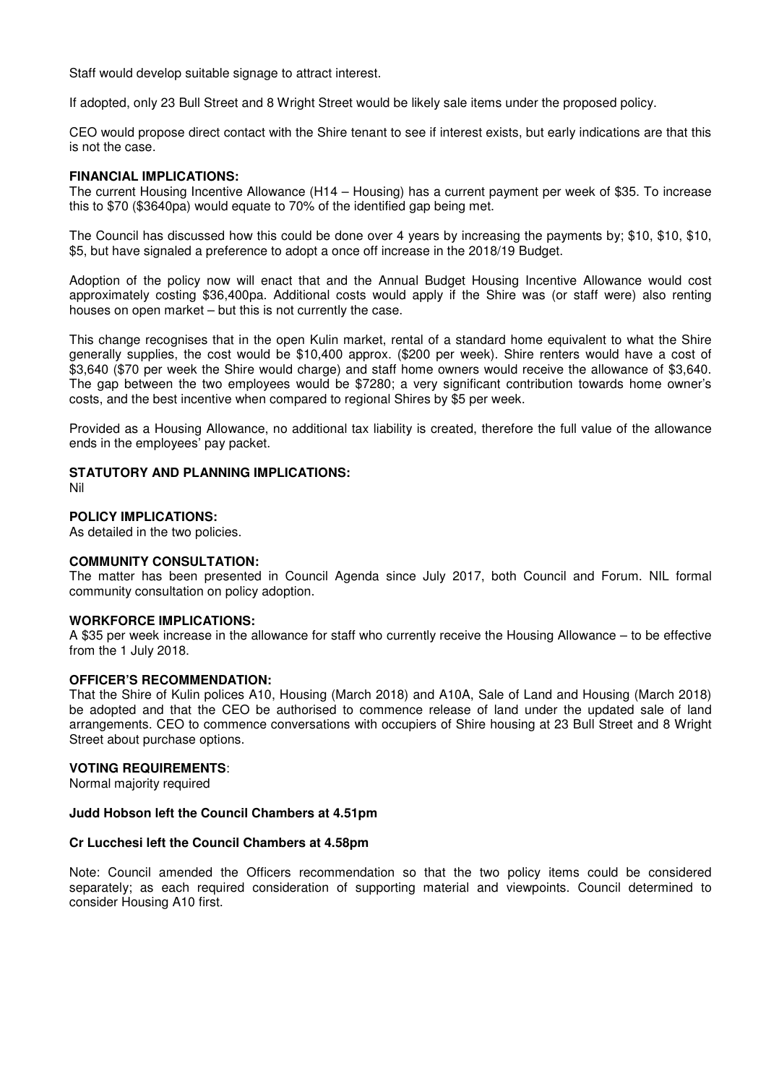Staff would develop suitable signage to attract interest.

If adopted, only 23 Bull Street and 8 Wright Street would be likely sale items under the proposed policy.

CEO would propose direct contact with the Shire tenant to see if interest exists, but early indications are that this is not the case.

#### **FINANCIAL IMPLICATIONS:**

The current Housing Incentive Allowance (H14 – Housing) has a current payment per week of \$35. To increase this to \$70 (\$3640pa) would equate to 70% of the identified gap being met.

The Council has discussed how this could be done over 4 years by increasing the payments by; \$10, \$10, \$10, \$5, but have signaled a preference to adopt a once off increase in the 2018/19 Budget.

Adoption of the policy now will enact that and the Annual Budget Housing Incentive Allowance would cost approximately costing \$36,400pa. Additional costs would apply if the Shire was (or staff were) also renting houses on open market – but this is not currently the case.

This change recognises that in the open Kulin market, rental of a standard home equivalent to what the Shire generally supplies, the cost would be \$10,400 approx. (\$200 per week). Shire renters would have a cost of \$3,640 (\$70 per week the Shire would charge) and staff home owners would receive the allowance of \$3,640. The gap between the two employees would be \$7280; a very significant contribution towards home owner's costs, and the best incentive when compared to regional Shires by \$5 per week.

Provided as a Housing Allowance, no additional tax liability is created, therefore the full value of the allowance ends in the employees' pay packet.

## **STATUTORY AND PLANNING IMPLICATIONS:**

Nil

#### **POLICY IMPLICATIONS:**

As detailed in the two policies.

### **COMMUNITY CONSULTATION:**

The matter has been presented in Council Agenda since July 2017, both Council and Forum. NIL formal community consultation on policy adoption.

#### **WORKFORCE IMPLICATIONS:**

A \$35 per week increase in the allowance for staff who currently receive the Housing Allowance – to be effective from the 1 July 2018.

#### **OFFICER'S RECOMMENDATION:**

That the Shire of Kulin polices A10, Housing (March 2018) and A10A, Sale of Land and Housing (March 2018) be adopted and that the CEO be authorised to commence release of land under the updated sale of land arrangements. CEO to commence conversations with occupiers of Shire housing at 23 Bull Street and 8 Wright Street about purchase options.

#### **VOTING REQUIREMENTS**:

Normal majority required

#### **Judd Hobson left the Council Chambers at 4.51pm**

#### **Cr Lucchesi left the Council Chambers at 4.58pm**

Note: Council amended the Officers recommendation so that the two policy items could be considered separately; as each required consideration of supporting material and viewpoints. Council determined to consider Housing A10 first.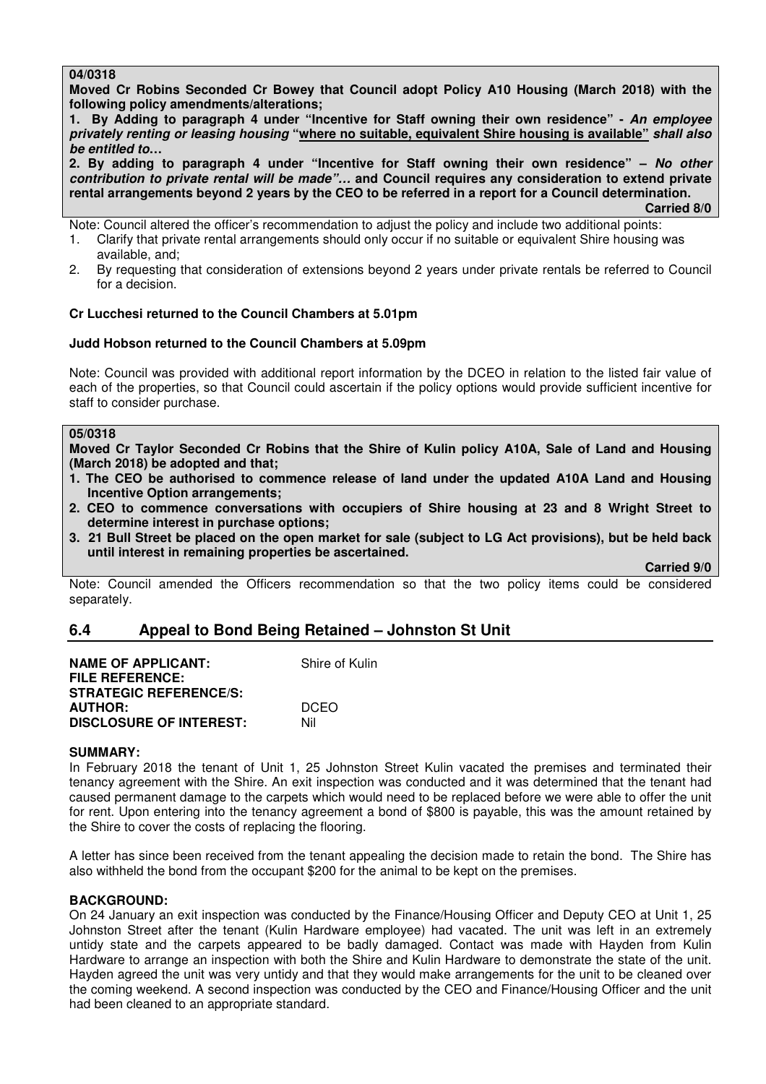### **04/0318**

**Moved Cr Robins Seconded Cr Bowey that Council adopt Policy A10 Housing (March 2018) with the following policy amendments/alterations;** 

**1. By Adding to paragraph 4 under "Incentive for Staff owning their own residence" - An employee privately renting or leasing housing "where no suitable, equivalent Shire housing is available" shall also be entitled to…** 

**2. By adding to paragraph 4 under "Incentive for Staff owning their own residence" – No other contribution to private rental will be made"… and Council requires any consideration to extend private rental arrangements beyond 2 years by the CEO to be referred in a report for a Council determination. Carried 8/0** 

Note: Council altered the officer's recommendation to adjust the policy and include two additional points:

- 1. Clarify that private rental arrangements should only occur if no suitable or equivalent Shire housing was available, and;
- 2. By requesting that consideration of extensions beyond 2 years under private rentals be referred to Council for a decision.

## **Cr Lucchesi returned to the Council Chambers at 5.01pm**

### **Judd Hobson returned to the Council Chambers at 5.09pm**

Note: Council was provided with additional report information by the DCEO in relation to the listed fair value of each of the properties, so that Council could ascertain if the policy options would provide sufficient incentive for staff to consider purchase.

## **05/0318**

**Moved Cr Taylor Seconded Cr Robins that the Shire of Kulin policy A10A, Sale of Land and Housing (March 2018) be adopted and that;** 

- **1. The CEO be authorised to commence release of land under the updated A10A Land and Housing Incentive Option arrangements;**
- **2. CEO to commence conversations with occupiers of Shire housing at 23 and 8 Wright Street to determine interest in purchase options;**
- **3. 21 Bull Street be placed on the open market for sale (subject to LG Act provisions), but be held back until interest in remaining properties be ascertained.**

 **Carried 9/0** 

Note: Council amended the Officers recommendation so that the two policy items could be considered separately.

## **6.4 Appeal to Bond Being Retained – Johnston St Unit**

| <b>NAME OF APPLICANT:</b><br><b>FILE REFERENCE:</b> | Shire of Kulin |
|-----------------------------------------------------|----------------|
| <b>STRATEGIC REFERENCE/S:</b>                       |                |
| <b>AUTHOR:</b>                                      | <b>DCEO</b>    |
| <b>DISCLOSURE OF INTEREST:</b>                      | Nil            |

#### **SUMMARY:**

In February 2018 the tenant of Unit 1, 25 Johnston Street Kulin vacated the premises and terminated their tenancy agreement with the Shire. An exit inspection was conducted and it was determined that the tenant had caused permanent damage to the carpets which would need to be replaced before we were able to offer the unit for rent. Upon entering into the tenancy agreement a bond of \$800 is payable, this was the amount retained by the Shire to cover the costs of replacing the flooring.

A letter has since been received from the tenant appealing the decision made to retain the bond. The Shire has also withheld the bond from the occupant \$200 for the animal to be kept on the premises.

#### **BACKGROUND:**

On 24 January an exit inspection was conducted by the Finance/Housing Officer and Deputy CEO at Unit 1, 25 Johnston Street after the tenant (Kulin Hardware employee) had vacated. The unit was left in an extremely untidy state and the carpets appeared to be badly damaged. Contact was made with Hayden from Kulin Hardware to arrange an inspection with both the Shire and Kulin Hardware to demonstrate the state of the unit. Hayden agreed the unit was very untidy and that they would make arrangements for the unit to be cleaned over the coming weekend. A second inspection was conducted by the CEO and Finance/Housing Officer and the unit had been cleaned to an appropriate standard.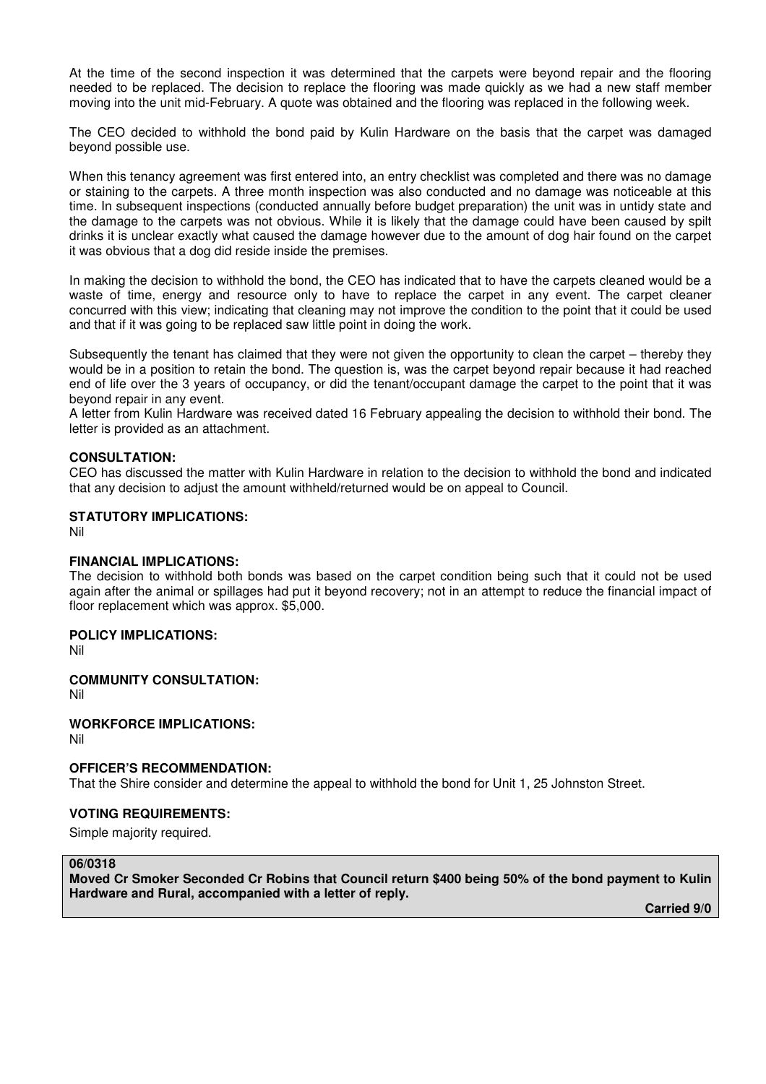At the time of the second inspection it was determined that the carpets were beyond repair and the flooring needed to be replaced. The decision to replace the flooring was made quickly as we had a new staff member moving into the unit mid-February. A quote was obtained and the flooring was replaced in the following week.

The CEO decided to withhold the bond paid by Kulin Hardware on the basis that the carpet was damaged beyond possible use.

When this tenancy agreement was first entered into, an entry checklist was completed and there was no damage or staining to the carpets. A three month inspection was also conducted and no damage was noticeable at this time. In subsequent inspections (conducted annually before budget preparation) the unit was in untidy state and the damage to the carpets was not obvious. While it is likely that the damage could have been caused by spilt drinks it is unclear exactly what caused the damage however due to the amount of dog hair found on the carpet it was obvious that a dog did reside inside the premises.

In making the decision to withhold the bond, the CEO has indicated that to have the carpets cleaned would be a waste of time, energy and resource only to have to replace the carpet in any event. The carpet cleaner concurred with this view; indicating that cleaning may not improve the condition to the point that it could be used and that if it was going to be replaced saw little point in doing the work.

Subsequently the tenant has claimed that they were not given the opportunity to clean the carpet – thereby they would be in a position to retain the bond. The question is, was the carpet beyond repair because it had reached end of life over the 3 years of occupancy, or did the tenant/occupant damage the carpet to the point that it was beyond repair in any event.

A letter from Kulin Hardware was received dated 16 February appealing the decision to withhold their bond. The letter is provided as an attachment.

#### **CONSULTATION:**

CEO has discussed the matter with Kulin Hardware in relation to the decision to withhold the bond and indicated that any decision to adjust the amount withheld/returned would be on appeal to Council.

#### **STATUTORY IMPLICATIONS:**

Nil

#### **FINANCIAL IMPLICATIONS:**

The decision to withhold both bonds was based on the carpet condition being such that it could not be used again after the animal or spillages had put it beyond recovery; not in an attempt to reduce the financial impact of floor replacement which was approx. \$5,000.

#### **POLICY IMPLICATIONS:**

Nil

**COMMUNITY CONSULTATION:**

Nil

#### **WORKFORCE IMPLICATIONS:**

Nil

#### **OFFICER'S RECOMMENDATION:**

That the Shire consider and determine the appeal to withhold the bond for Unit 1, 25 Johnston Street.

### **VOTING REQUIREMENTS:**

Simple majority required.

#### **06/0318**

**Moved Cr Smoker Seconded Cr Robins that Council return \$400 being 50% of the bond payment to Kulin Hardware and Rural, accompanied with a letter of reply.** 

 **Carried 9/0**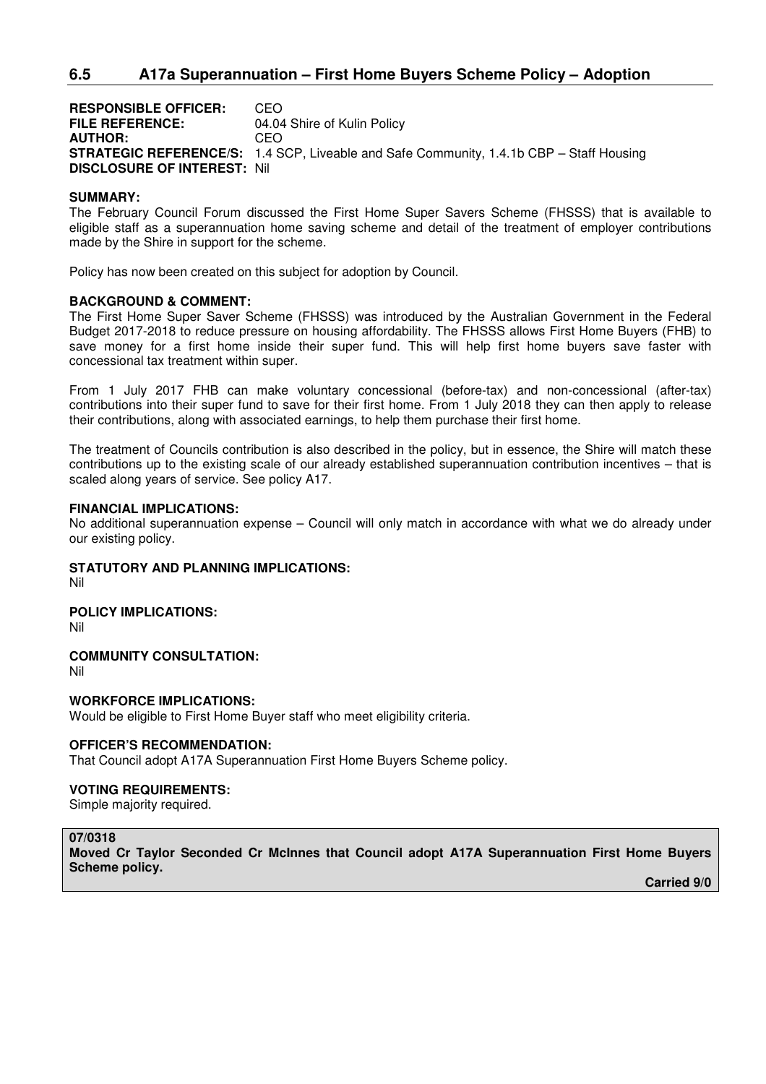## **6.5 A17a Superannuation – First Home Buyers Scheme Policy – Adoption**

**RESPONSIBLE OFFICER:** CEO **FILE REFERENCE:** 04.04 Shire of Kulin Policy **AUTHOR:** CEO **STRATEGIC REFERENCE/S:** 1.4 SCP, Liveable and Safe Community, 1.4.1b CBP – Staff Housing **DISCLOSURE OF INTEREST:** Nil

#### **SUMMARY:**

The February Council Forum discussed the First Home Super Savers Scheme (FHSSS) that is available to eligible staff as a superannuation home saving scheme and detail of the treatment of employer contributions made by the Shire in support for the scheme.

Policy has now been created on this subject for adoption by Council.

#### **BACKGROUND & COMMENT:**

The First Home Super Saver Scheme (FHSSS) was introduced by the Australian Government in the Federal Budget 2017-2018 to reduce pressure on housing affordability. The FHSSS allows First Home Buyers (FHB) to save money for a first home inside their super fund. This will help first home buyers save faster with concessional tax treatment within super.

From 1 July 2017 FHB can make voluntary concessional (before-tax) and non-concessional (after-tax) contributions into their super fund to save for their first home. From 1 July 2018 they can then apply to release their contributions, along with associated earnings, to help them purchase their first home.

The treatment of Councils contribution is also described in the policy, but in essence, the Shire will match these contributions up to the existing scale of our already established superannuation contribution incentives – that is scaled along years of service. See policy A17.

#### **FINANCIAL IMPLICATIONS:**

No additional superannuation expense – Council will only match in accordance with what we do already under our existing policy.

#### **STATUTORY AND PLANNING IMPLICATIONS:**

Nil

**POLICY IMPLICATIONS:** 

Nil

**COMMUNITY CONSULTATION:** 

Nil

**WORKFORCE IMPLICATIONS:**  Would be eligible to First Home Buyer staff who meet eligibility criteria.

#### **OFFICER'S RECOMMENDATION:**

That Council adopt A17A Superannuation First Home Buyers Scheme policy.

#### **VOTING REQUIREMENTS:**

Simple majority required.

## **07/0318**

**Moved Cr Taylor Seconded Cr McInnes that Council adopt A17A Superannuation First Home Buyers Scheme policy.** 

 **Carried 9/0**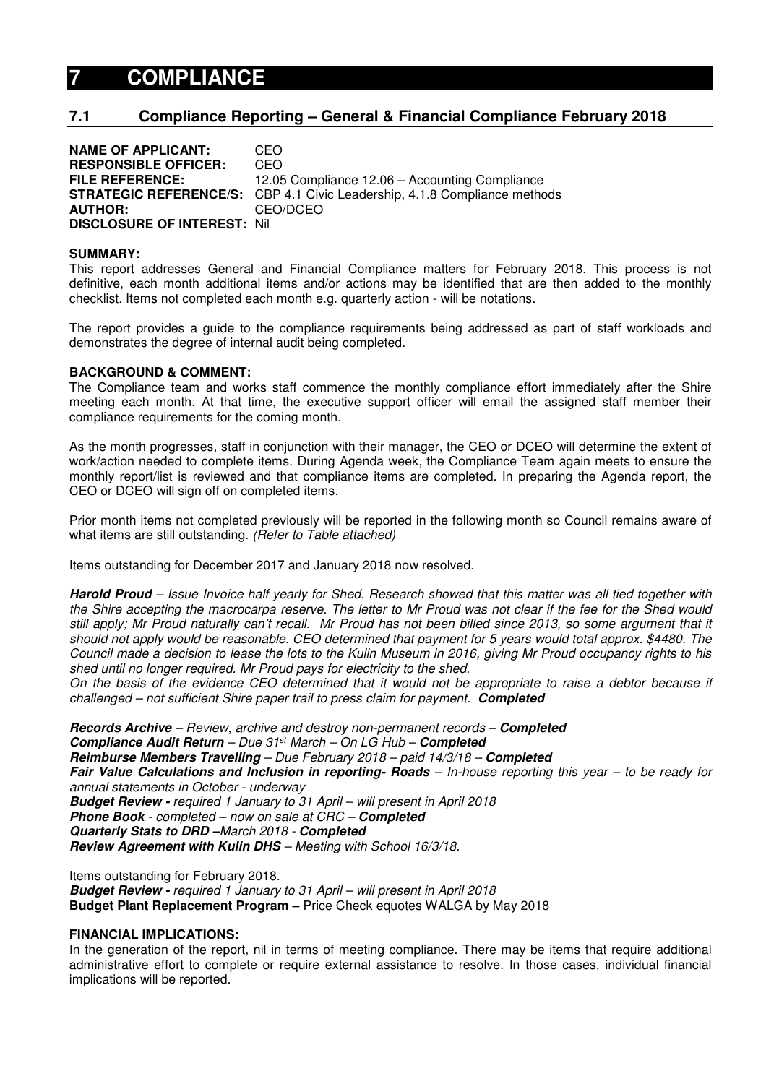# **7 COMPLIANCE**

## **7.1 Compliance Reporting – General & Financial Compliance February 2018**

**NAME OF APPLICANT:** CEO **RESPONSIBLE OFFICER:** CEO **FILE REFERENCE:** 12.05 Compliance 12.06 – Accounting Compliance **STRATEGIC REFERENCE/S:** CBP 4.1 Civic Leadership, 4.1.8 Compliance methods **AUTHOR:** CEO/DCEO **DISCLOSURE OF INTEREST:** Nil

#### **SUMMARY:**

This report addresses General and Financial Compliance matters for February 2018. This process is not definitive, each month additional items and/or actions may be identified that are then added to the monthly checklist. Items not completed each month e.g. quarterly action - will be notations.

The report provides a guide to the compliance requirements being addressed as part of staff workloads and demonstrates the degree of internal audit being completed.

### **BACKGROUND & COMMENT:**

The Compliance team and works staff commence the monthly compliance effort immediately after the Shire meeting each month. At that time, the executive support officer will email the assigned staff member their compliance requirements for the coming month.

As the month progresses, staff in conjunction with their manager, the CEO or DCEO will determine the extent of work/action needed to complete items. During Agenda week, the Compliance Team again meets to ensure the monthly report/list is reviewed and that compliance items are completed. In preparing the Agenda report, the CEO or DCEO will sign off on completed items.

Prior month items not completed previously will be reported in the following month so Council remains aware of what items are still outstanding. (Refer to Table attached)

Items outstanding for December 2017 and January 2018 now resolved.

**Harold Proud** – Issue Invoice half yearly for Shed. Research showed that this matter was all tied together with the Shire accepting the macrocarpa reserve. The letter to Mr Proud was not clear if the fee for the Shed would still apply; Mr Proud naturally can't recall. Mr Proud has not been billed since 2013, so some argument that it should not apply would be reasonable. CEO determined that payment for 5 years would total approx. \$4480. The Council made a decision to lease the lots to the Kulin Museum in 2016, giving Mr Proud occupancy rights to his shed until no longer required. Mr Proud pays for electricity to the shed.

On the basis of the evidence CEO determined that it would not be appropriate to raise a debtor because if challenged – not sufficient Shire paper trail to press claim for payment. **Completed** 

**Records Archive** – Review, archive and destroy non-permanent records – **Completed Compliance Audit Return** – Due 31st March – On LG Hub – **Completed Reimburse Members Travelling** – Due February 2018 – paid 14/3/18 – **Completed Fair Value Calculations and Inclusion in reporting- Roads** – In-house reporting this year – to be ready for annual statements in October - underway **Budget Review -** required 1 January to 31 April – will present in April 2018 **Phone Book** - completed – now on sale at CRC – **Completed Quarterly Stats to DRD –**March 2018 - **Completed Review Agreement with Kulin DHS** – Meeting with School 16/3/18.

Items outstanding for February 2018. **Budget Review -** required 1 January to 31 April – will present in April 2018 **Budget Plant Replacement Program –** Price Check equotes WALGA by May 2018

## **FINANCIAL IMPLICATIONS:**

In the generation of the report, nil in terms of meeting compliance. There may be items that require additional administrative effort to complete or require external assistance to resolve. In those cases, individual financial implications will be reported.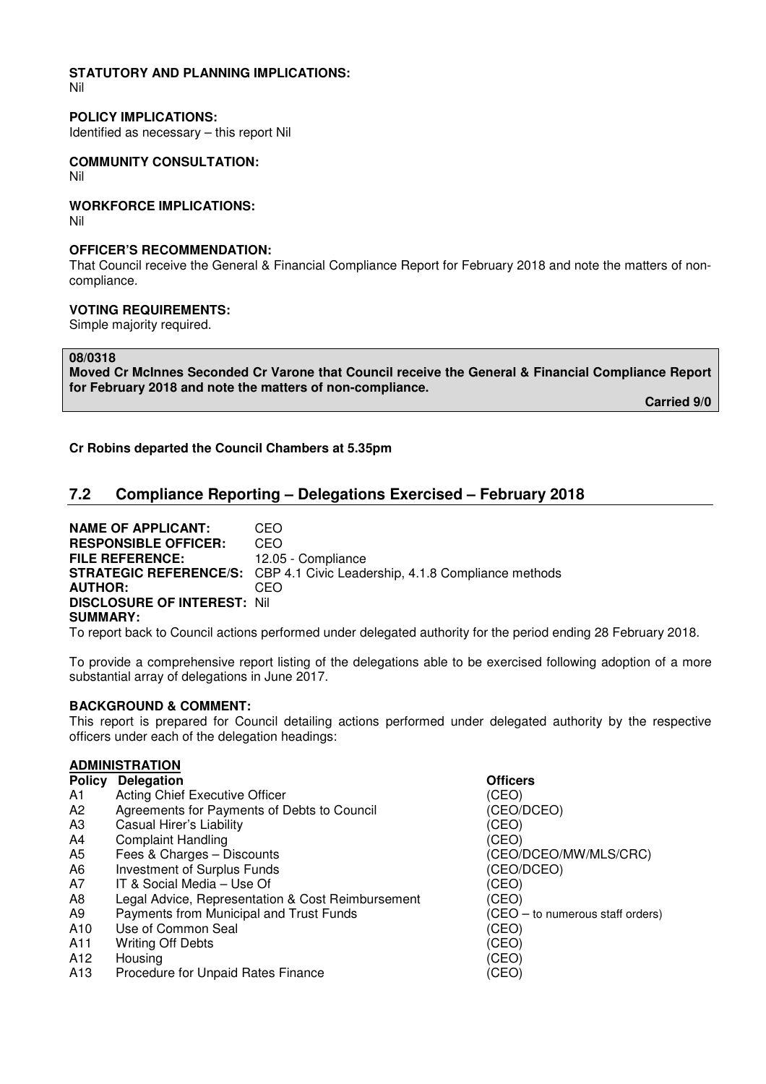# **STATUTORY AND PLANNING IMPLICATIONS:**

Nil

## **POLICY IMPLICATIONS:**

Identified as necessary – this report Nil

# **COMMUNITY CONSULTATION:**

Nil

## **WORKFORCE IMPLICATIONS:**

Nil

## **OFFICER'S RECOMMENDATION:**

That Council receive the General & Financial Compliance Report for February 2018 and note the matters of noncompliance.

## **VOTING REQUIREMENTS:**

Simple majority required.

## **08/0318**

**Moved Cr McInnes Seconded Cr Varone that Council receive the General & Financial Compliance Report for February 2018 and note the matters of non-compliance.** 

 **Carried 9/0** 

## **Cr Robins departed the Council Chambers at 5.35pm**

## **7.2 Compliance Reporting – Delegations Exercised – February 2018**

**NAME OF APPLICANT: CEO<br>RESPONSIBLE OFFICER: CEO RESPONSIBLE OFFICER: FILE REFERENCE:** 12.05 - Compliance **STRATEGIC REFERENCE/S:** CBP 4.1 Civic Leadership, 4.1.8 Compliance methods **AUTHOR:** CEO **DISCLOSURE OF INTEREST:** Nil **SUMMARY:** 

To report back to Council actions performed under delegated authority for the period ending 28 February 2018.

To provide a comprehensive report listing of the delegations able to be exercised following adoption of a more substantial array of delegations in June 2017.

## **BACKGROUND & COMMENT:**

This report is prepared for Council detailing actions performed under delegated authority by the respective officers under each of the delegation headings:

#### **ADMINISTRATION**

#### **Policy Delegation Contract Contract Contract Delegation Contract Contract Contract Contract Officers**

- 
- A1 Acting Chief Executive Officer<br>
A2 Agreements for Payments of Debts to Council (CEO/DCEO) A2 Agreements for Payments of Debts to Council<br>A3 Casual Hirer's Liability
- **Casual Hirer's Liability** (CEO)
- 
- A4 Complaint Handling<br>
A5 Fees & Charges Discounts<br>
(CEO/ A5 Fees & Charges – Discounts (CEO/DCEO/MW/MLS/CRC)
- A6 Investment of Surplus Funds (CEO/DCEO)
- A7 IT & Social Media Use Of (CEO)
- A8 Legal Advice, Representation & Cost Reimbursement (CEO)
- A9 Payments from Municipal and Trust Funds (CEO to numerous staff orders)
- A10 Use of Common Seal (CEO)
- A11 Writing Off Debts (CEO)
- A12 Housing (CEO)
- A13 Procedure for Unpaid Rates Finance (CEO)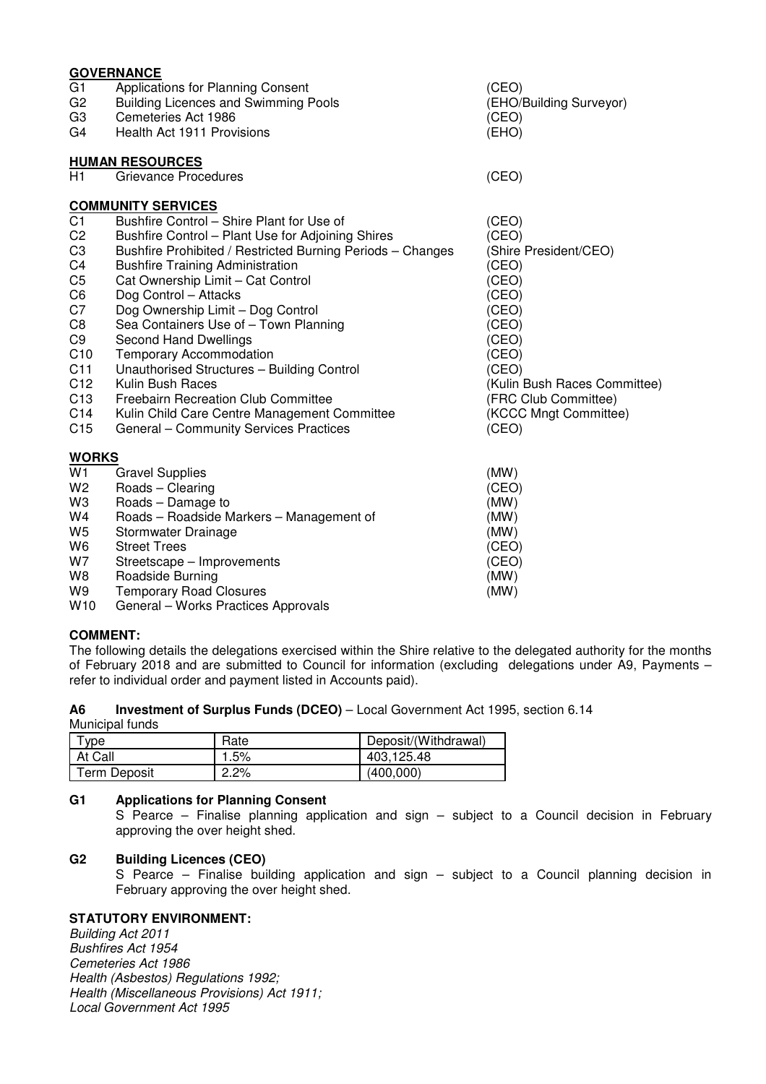| <b>GOVERNANCE</b>     |                                                            |                              |  |  |
|-----------------------|------------------------------------------------------------|------------------------------|--|--|
| G <sub>1</sub>        | Applications for Planning Consent                          | (CEO)                        |  |  |
| G <sub>2</sub>        | <b>Building Licences and Swimming Pools</b>                | (EHO/Building Surveyor)      |  |  |
| G <sub>3</sub>        | Cemeteries Act 1986                                        | (CEO)                        |  |  |
| G4                    | Health Act 1911 Provisions                                 | (EHO)                        |  |  |
|                       | <b>HUMAN RESOURCES</b>                                     |                              |  |  |
| H1                    | Grievance Procedures                                       | (CEO)                        |  |  |
|                       | <b>COMMUNITY SERVICES</b>                                  |                              |  |  |
| C <sub>1</sub>        | Bushfire Control - Shire Plant for Use of                  | (CEO)                        |  |  |
| C <sub>2</sub>        | Bushfire Control - Plant Use for Adjoining Shires          | (CEO)                        |  |  |
| C <sub>3</sub>        | Bushfire Prohibited / Restricted Burning Periods - Changes | (Shire President/CEO)        |  |  |
| C <sub>4</sub>        | <b>Bushfire Training Administration</b>                    | (CEO)                        |  |  |
| C <sub>5</sub>        | Cat Ownership Limit - Cat Control                          | (CEO)                        |  |  |
| C <sub>6</sub>        | Dog Control - Attacks                                      | (CEO)                        |  |  |
| C7                    | Dog Ownership Limit - Dog Control                          | (CEO)                        |  |  |
| C <sub>8</sub>        | Sea Containers Use of - Town Planning                      | (CEO)                        |  |  |
| C <sub>9</sub><br>C10 | Second Hand Dwellings<br><b>Temporary Accommodation</b>    | (CEO)<br>(CEO)               |  |  |
| C11                   | Unauthorised Structures - Building Control                 | (CEO)                        |  |  |
| C <sub>12</sub>       | Kulin Bush Races                                           | (Kulin Bush Races Committee) |  |  |
| C <sub>13</sub>       | <b>Freebairn Recreation Club Committee</b>                 | (FRC Club Committee)         |  |  |
| C14                   | Kulin Child Care Centre Management Committee               | (KCCC Mngt Committee)        |  |  |
| C <sub>15</sub>       | General - Community Services Practices                     | (CEO)                        |  |  |
| <b>WORKS</b>          |                                                            |                              |  |  |
| W <sub>1</sub>        | <b>Gravel Supplies</b>                                     | (MW)                         |  |  |
| W <sub>2</sub>        | Roads - Clearing                                           | (CEO)                        |  |  |
| W <sub>3</sub>        | Roads - Damage to                                          | (MW)                         |  |  |
| W4                    | Roads - Roadside Markers - Management of                   | (MW)                         |  |  |
| W <sub>5</sub>        | Stormwater Drainage                                        | (MW)                         |  |  |
| W <sub>6</sub>        | <b>Street Trees</b>                                        | (CEO)                        |  |  |
| W7                    | Streetscape – Improvements                                 | (CEO)                        |  |  |
| W8                    | Roadside Burning                                           | (MW)                         |  |  |

W9 Temporary Road Closures<br>W10 General – Works Practices Approvals<br> General – Works Practices Approvals

## **COMMENT:**

The following details the delegations exercised within the Shire relative to the delegated authority for the months of February 2018 and are submitted to Council for information (excluding delegations under A9, Payments – refer to individual order and payment listed in Accounts paid).

| A6 | <b>Investment of Surplus Funds (DCEO)</b> – Local Government Act 1995, section 6.14 |
|----|-------------------------------------------------------------------------------------|
|    | Municipal funds                                                                     |

| vpe          | Rate | Deposit/(Withdrawal) |
|--------------|------|----------------------|
| At Call      | 1.5% | 403.125.48           |
| Term Deposit | 2.2% | (400.000)            |

## **G1 Applications for Planning Consent**

 S Pearce – Finalise planning application and sign – subject to a Council decision in February approving the over height shed.

## **G2 Building Licences (CEO)**

S Pearce – Finalise building application and sign – subject to a Council planning decision in February approving the over height shed.

## **STATUTORY ENVIRONMENT:**

Building Act 2011 Bushfires Act 1954 Cemeteries Act 1986 Health (Asbestos) Regulations 1992; Health (Miscellaneous Provisions) Act 1911; Local Government Act 1995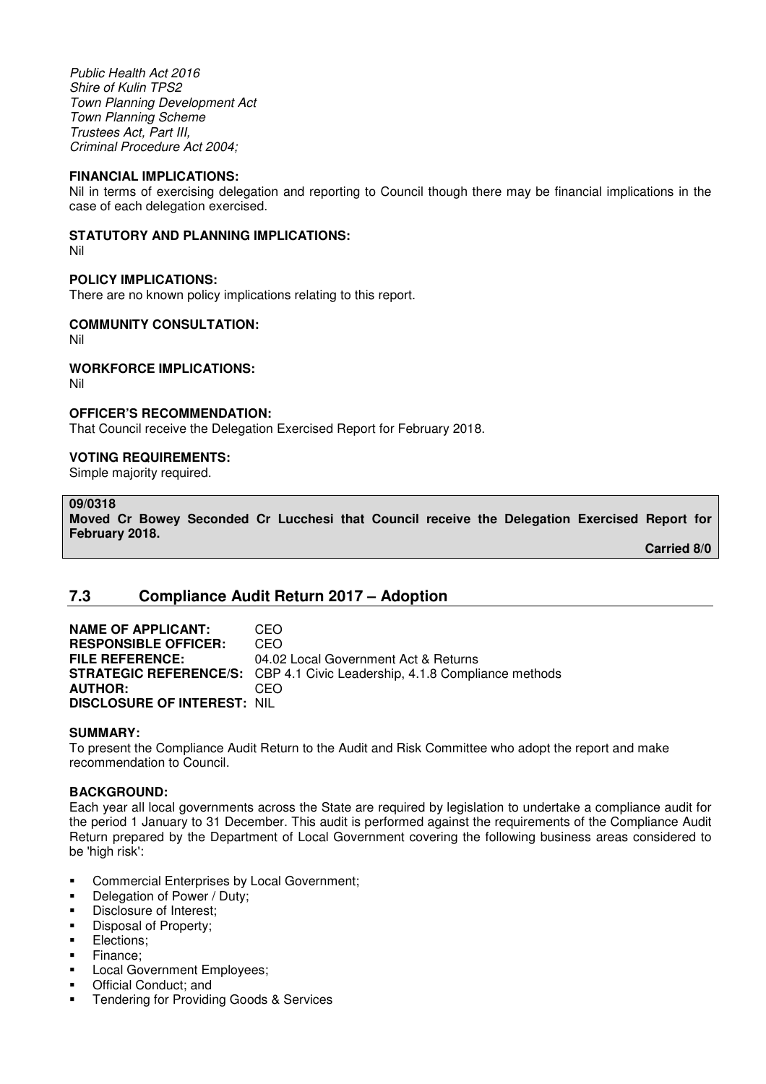Public Health Act 2016 Shire of Kulin TPS2 Town Planning Development Act Town Planning Scheme Trustees Act, Part III, Criminal Procedure Act 2004;

#### **FINANCIAL IMPLICATIONS:**

Nil in terms of exercising delegation and reporting to Council though there may be financial implications in the case of each delegation exercised.

#### **STATUTORY AND PLANNING IMPLICATIONS:**

Nil

## **POLICY IMPLICATIONS:**

There are no known policy implications relating to this report.

### **COMMUNITY CONSULTATION:**

Nil

### **WORKFORCE IMPLICATIONS:**

Nil

### **OFFICER'S RECOMMENDATION:**

That Council receive the Delegation Exercised Report for February 2018.

### **VOTING REQUIREMENTS:**

Simple majority required.

## **09/0318**

**Moved Cr Bowey Seconded Cr Lucchesi that Council receive the Delegation Exercised Report for February 2018.** 

 **Carried 8/0** 

## **7.3 Compliance Audit Return 2017 – Adoption**

**NAME OF APPLICANT:** CEO **RESPONSIBLE OFFICER:** CEO<br>**FILE REFERENCE:** 04.02 04.02 Local Government Act & Returns **STRATEGIC REFERENCE/S:** CBP 4.1 Civic Leadership, 4.1.8 Compliance methods **AUTHOR:** CEO **DISCLOSURE OF INTEREST:** NIL

#### **SUMMARY:**

To present the Compliance Audit Return to the Audit and Risk Committee who adopt the report and make recommendation to Council.

## **BACKGROUND:**

Each year all local governments across the State are required by legislation to undertake a compliance audit for the period 1 January to 31 December. This audit is performed against the requirements of the Compliance Audit Return prepared by the Department of Local Government covering the following business areas considered to be 'high risk':

- Commercial Enterprises by Local Government;
- Delegation of Power / Duty;
- **Disclosure of Interest:**
- Disposal of Property;
- Elections;
- Finance;
- **Local Government Employees;**
- Official Conduct; and
- **Tendering for Providing Goods & Services**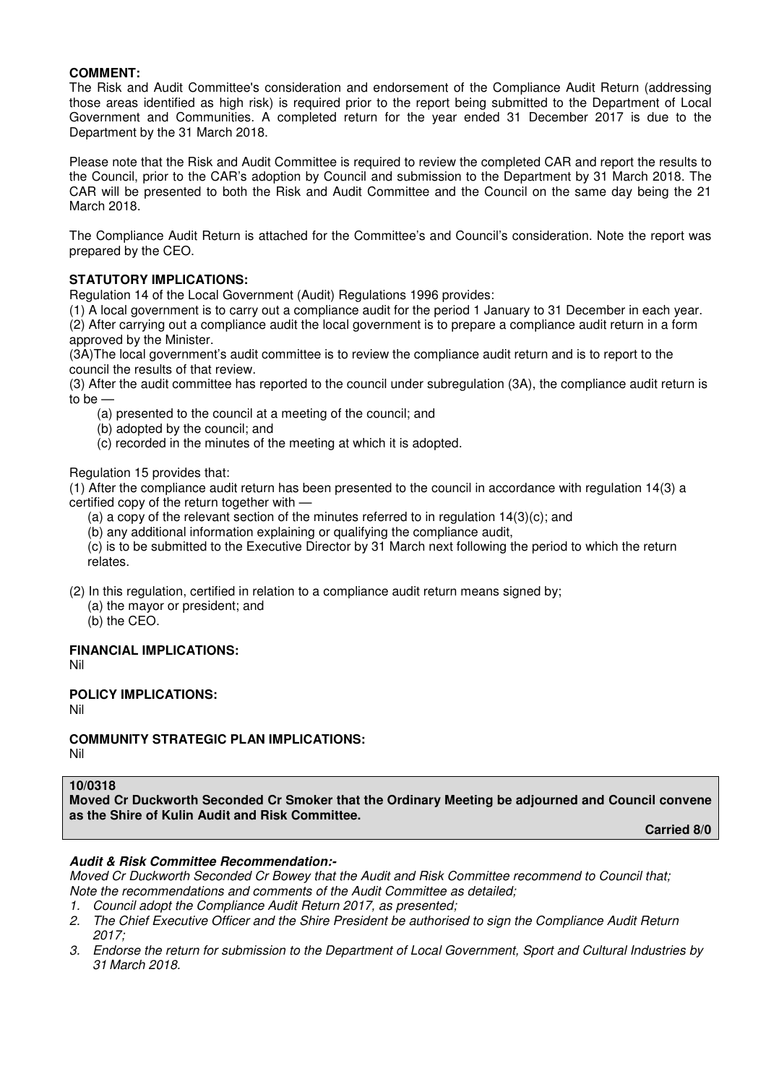## **COMMENT:**

The Risk and Audit Committee's consideration and endorsement of the Compliance Audit Return (addressing those areas identified as high risk) is required prior to the report being submitted to the Department of Local Government and Communities. A completed return for the year ended 31 December 2017 is due to the Department by the 31 March 2018.

Please note that the Risk and Audit Committee is required to review the completed CAR and report the results to the Council, prior to the CAR's adoption by Council and submission to the Department by 31 March 2018. The CAR will be presented to both the Risk and Audit Committee and the Council on the same day being the 21 March 2018.

The Compliance Audit Return is attached for the Committee's and Council's consideration. Note the report was prepared by the CEO.

## **STATUTORY IMPLICATIONS:**

Regulation 14 of the Local Government (Audit) Regulations 1996 provides:

(1) A local government is to carry out a compliance audit for the period 1 January to 31 December in each year. (2) After carrying out a compliance audit the local government is to prepare a compliance audit return in a form approved by the Minister.

(3A)The local government's audit committee is to review the compliance audit return and is to report to the council the results of that review.

(3) After the audit committee has reported to the council under subregulation (3A), the compliance audit return is to be —

- (a) presented to the council at a meeting of the council; and
- (b) adopted by the council; and
- (c) recorded in the minutes of the meeting at which it is adopted.

Regulation 15 provides that:

(1) After the compliance audit return has been presented to the council in accordance with regulation 14(3) a certified copy of the return together with —

- (a) a copy of the relevant section of the minutes referred to in regulation 14(3)(c); and
- (b) any additional information explaining or qualifying the compliance audit,

(c) is to be submitted to the Executive Director by 31 March next following the period to which the return relates.

(2) In this regulation, certified in relation to a compliance audit return means signed by;

- (a) the mayor or president; and
- (b) the CEO.

#### **FINANCIAL IMPLICATIONS:**

Nil

#### **POLICY IMPLICATIONS:**

Nil

## **COMMUNITY STRATEGIC PLAN IMPLICATIONS:**

Nil

## **10/0318**

**Moved Cr Duckworth Seconded Cr Smoker that the Ordinary Meeting be adjourned and Council convene as the Shire of Kulin Audit and Risk Committee.** 

**Carried 8/0** 

## **Audit & Risk Committee Recommendation:-**

Moved Cr Duckworth Seconded Cr Bowey that the Audit and Risk Committee recommend to Council that; Note the recommendations and comments of the Audit Committee as detailed;

- 1. Council adopt the Compliance Audit Return 2017, as presented;
- 2. The Chief Executive Officer and the Shire President be authorised to sign the Compliance Audit Return 2017;
- 3. Endorse the return for submission to the Department of Local Government, Sport and Cultural Industries by 31 March 2018.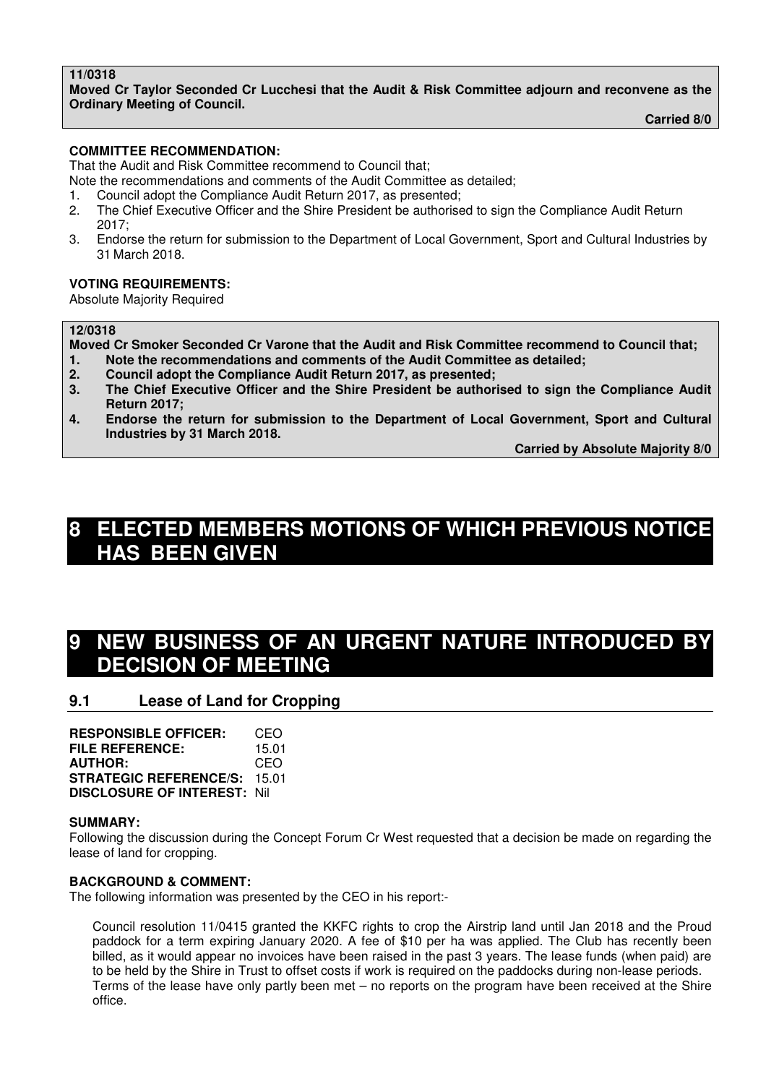## **11/0318**

**Moved Cr Taylor Seconded Cr Lucchesi that the Audit & Risk Committee adjourn and reconvene as the Ordinary Meeting of Council.** 

**Carried 8/0** 

## **COMMITTEE RECOMMENDATION:**

That the Audit and Risk Committee recommend to Council that;

Note the recommendations and comments of the Audit Committee as detailed;

- 1. Council adopt the Compliance Audit Return 2017, as presented;
- 2. The Chief Executive Officer and the Shire President be authorised to sign the Compliance Audit Return 2017;
- 3. Endorse the return for submission to the Department of Local Government, Sport and Cultural Industries by 31 March 2018.

## **VOTING REQUIREMENTS:**

Absolute Majority Required

## **12/0318**

**Moved Cr Smoker Seconded Cr Varone that the Audit and Risk Committee recommend to Council that; 1. Note the recommendations and comments of the Audit Committee as detailed;** 

- **2. Council adopt the Compliance Audit Return 2017, as presented;**
- **3. The Chief Executive Officer and the Shire President be authorised to sign the Compliance Audit Return 2017;**
- **4. Endorse the return for submission to the Department of Local Government, Sport and Cultural Industries by 31 March 2018.**

 **Carried by Absolute Majority 8/0** 

# **8 ELECTED MEMBERS MOTIONS OF WHICH PREVIOUS NOTICE HAS BEEN GIVEN**

# **NEW BUSINESS OF AN URGENT NATURE INTRODUCED BY DECISION OF MEETING**

## **9.1 Lease of Land for Cropping**

**RESPONSIBLE OFFICER:** CEO **FILE REFERENCE:** 15.01 **AUTHOR:** CEO **STRATEGIC REFERENCE/S:** 15.01 **DISCLOSURE OF INTEREST:** Nil

#### **SUMMARY:**

Following the discussion during the Concept Forum Cr West requested that a decision be made on regarding the lease of land for cropping.

## **BACKGROUND & COMMENT:**

The following information was presented by the CEO in his report:-

Council resolution 11/0415 granted the KKFC rights to crop the Airstrip land until Jan 2018 and the Proud paddock for a term expiring January 2020. A fee of \$10 per ha was applied. The Club has recently been billed, as it would appear no invoices have been raised in the past 3 years. The lease funds (when paid) are to be held by the Shire in Trust to offset costs if work is required on the paddocks during non-lease periods. Terms of the lease have only partly been met – no reports on the program have been received at the Shire office.